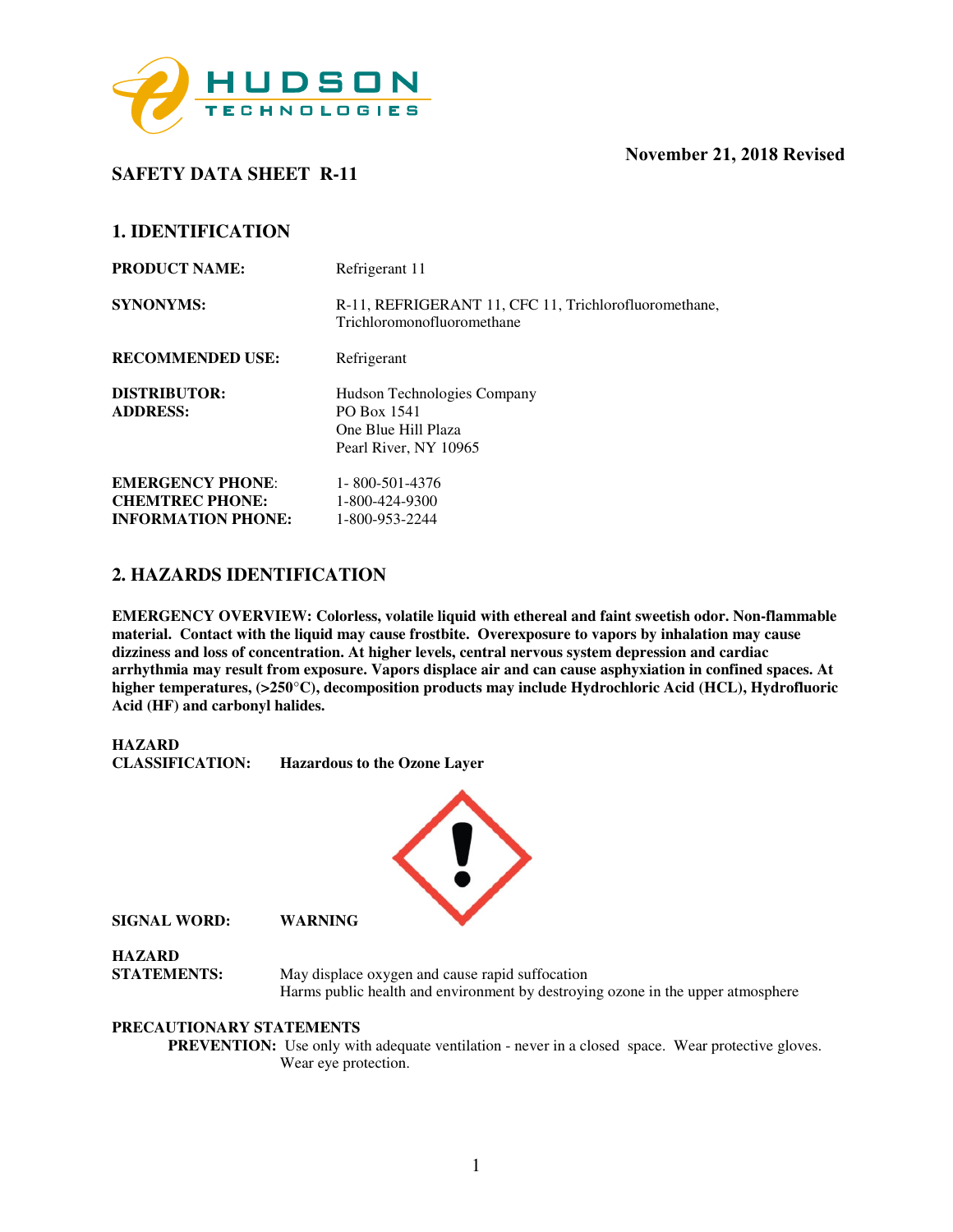

## **SAFETY DATA SHEET R-11**

## **November 21, 2018 Revised**

## **1. IDENTIFICATION**

| <b>PRODUCT NAME:</b>                                | Refrigerant 11                                                                             |
|-----------------------------------------------------|--------------------------------------------------------------------------------------------|
| <b>SYNONYMS:</b>                                    | R-11, REFRIGERANT 11, CFC 11, Trichlorofluoromethane,<br>Trichloromonofluoromethane        |
| <b>RECOMMENDED USE:</b>                             | Refrigerant                                                                                |
| <b>DISTRIBUTOR:</b><br><b>ADDRESS:</b>              | Hudson Technologies Company<br>PO Box 1541<br>One Blue Hill Plaza<br>Pearl River, NY 10965 |
| <b>EMERGENCY PHONE:</b>                             | 1-800-501-4376                                                                             |
| <b>CHEMTREC PHONE:</b><br><b>INFORMATION PHONE:</b> | 1-800-424-9300<br>1-800-953-2244                                                           |

## **2. HAZARDS IDENTIFICATION**

**EMERGENCY OVERVIEW: Colorless, volatile liquid with ethereal and faint sweetish odor. Non-flammable material. Contact with the liquid may cause frostbite. Overexposure to vapors by inhalation may cause dizziness and loss of concentration. At higher levels, central nervous system depression and cardiac arrhythmia may result from exposure. Vapors displace air and can cause asphyxiation in confined spaces. At higher temperatures, (>250**°**C), decomposition products may include Hydrochloric Acid (HCL), Hydrofluoric Acid (HF) and carbonyl halides.** 

**HAZARD** 

**Hazardous to the Ozone Layer** 



**SIGNAL WORD: WARNING** 

**HAZARD** 

May displace oxygen and cause rapid suffocation Harms public health and environment by destroying ozone in the upper atmosphere

#### **PRECAUTIONARY STATEMENTS**

**PREVENTION:** Use only with adequate ventilation - never in a closed space. Wear protective gloves. Wear eye protection.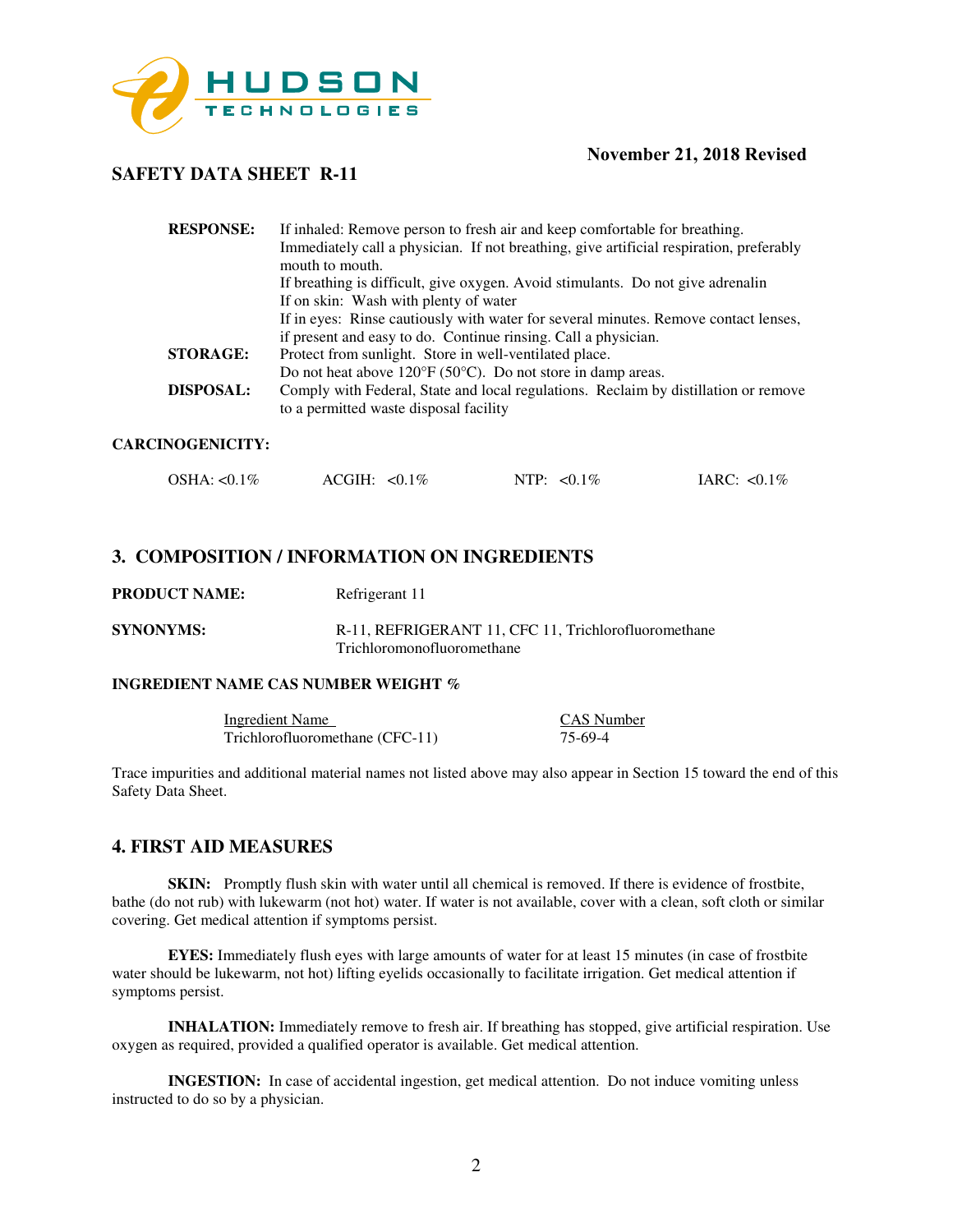

## **SAFETY DATA SHEET R-11**

| <b>RESPONSE:</b> | If inhaled: Remove person to fresh air and keep comfortable for breathing.                                 |
|------------------|------------------------------------------------------------------------------------------------------------|
|                  | Immediately call a physician. If not breathing, give artificial respiration, preferably<br>mouth to mouth. |
|                  | If breathing is difficult, give oxygen. Avoid stimulants. Do not give adrenalin                            |
|                  | If on skin: Wash with plenty of water                                                                      |
|                  | If in eyes: Rinse cautiously with water for several minutes. Remove contact lenses,                        |
|                  | if present and easy to do. Continue rinsing. Call a physician.                                             |
| <b>STORAGE:</b>  | Protect from sunlight. Store in well-ventilated place.                                                     |
|                  | Do not heat above $120^{\circ}F(50^{\circ}C)$ . Do not store in damp areas.                                |
| <b>DISPOSAL:</b> | Comply with Federal, State and local regulations. Reclaim by distillation or remove                        |
|                  | to a permitted waste disposal facility                                                                     |
|                  |                                                                                                            |

#### **CARCINOGENICITY:**

| OSHA: <0.1% | $ACGH: <0.1\%$ | NTP: $< 0.1\%$ | IARC: $< 0.1\%$ |
|-------------|----------------|----------------|-----------------|
|-------------|----------------|----------------|-----------------|

### **3. COMPOSITION / INFORMATION ON INGREDIENTS**

| PRODUCT NAME:    | Refrigerant 11                                       |
|------------------|------------------------------------------------------|
| <b>SYNONYMS:</b> | R-11, REFRIGERANT 11, CFC 11, Trichlorofluoromethane |
|                  | Trichloromonofluoromethane                           |

#### **INGREDIENT NAME CAS NUMBER WEIGHT %**

Ingredient Name<br>
Trichlorofluoromethane (CFC-11)<br>
75-69-4  $Trichlor of luorome thane (CFC-11)$ 

Trace impurities and additional material names not listed above may also appear in Section 15 toward the end of this Safety Data Sheet.

#### **4. FIRST AID MEASURES**

**SKIN:** Promptly flush skin with water until all chemical is removed. If there is evidence of frostbite, bathe (do not rub) with lukewarm (not hot) water. If water is not available, cover with a clean, soft cloth or similar covering. Get medical attention if symptoms persist.

**EYES:** Immediately flush eyes with large amounts of water for at least 15 minutes (in case of frostbite water should be lukewarm, not hot) lifting eyelids occasionally to facilitate irrigation. Get medical attention if symptoms persist.

**INHALATION:** Immediately remove to fresh air. If breathing has stopped, give artificial respiration. Use oxygen as required, provided a qualified operator is available. Get medical attention.

**INGESTION:** In case of accidental ingestion, get medical attention. Do not induce vomiting unless instructed to do so by a physician.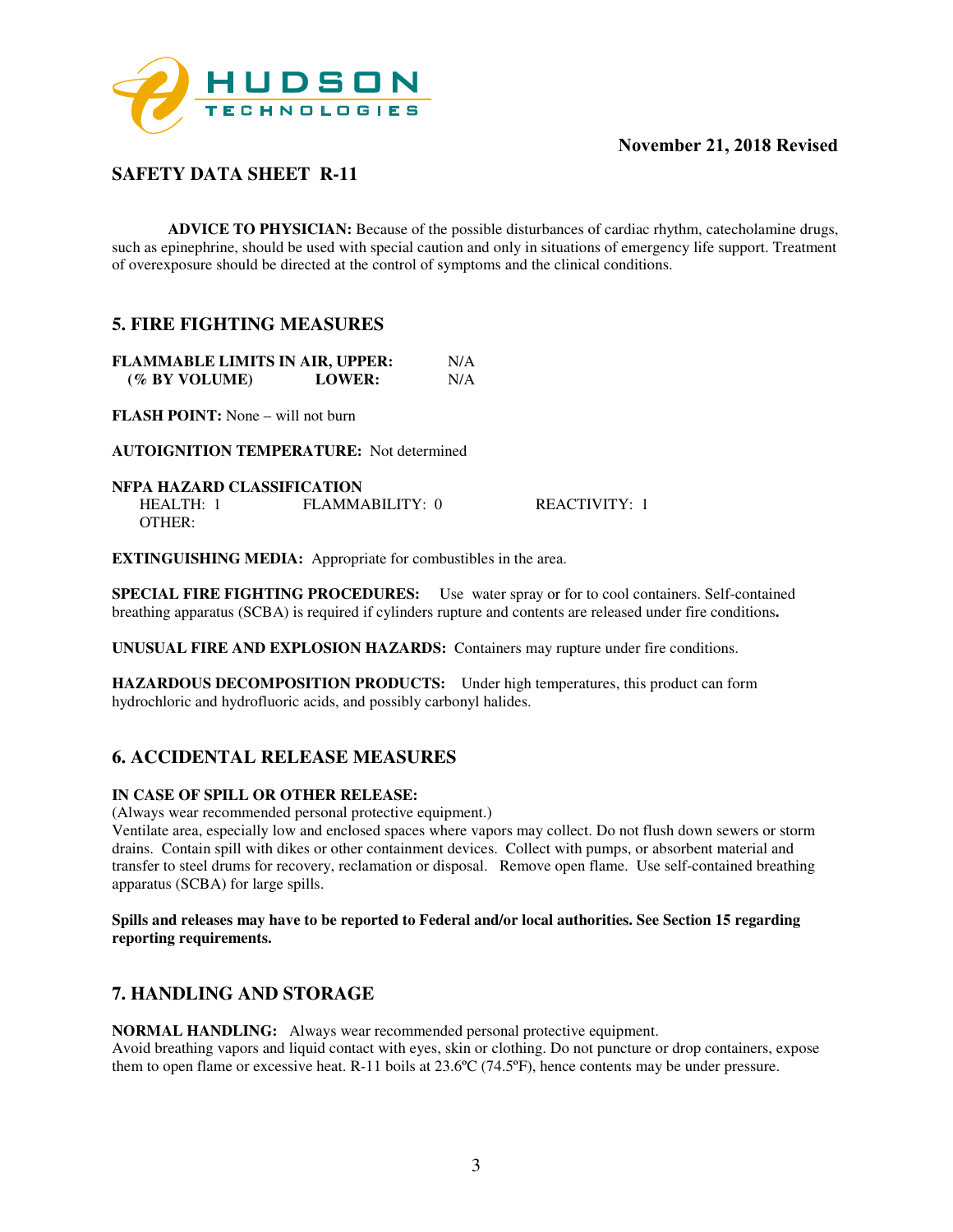

# **SAFETY DATA SHEET R-11**

**ADVICE TO PHYSICIAN:** Because of the possible disturbances of cardiac rhythm, catecholamine drugs, such as epinephrine, should be used with special caution and only in situations of emergency life support. Treatment of overexposure should be directed at the control of symptoms and the clinical conditions.

## **5. FIRE FIGHTING MEASURES**

| <b>FLAMMABLE LIMITS IN AIR, UPPER:</b> |               | N/A |
|----------------------------------------|---------------|-----|
| (% BY VOLUME)                          | <b>LOWER:</b> | N/A |

**FLASH POINT:** None – will not burn

**AUTOIGNITION TEMPERATURE:** Not determined

**NFPA HAZARD CLASSIFICATION**  HEALTH: 1 FLAMMABILITY: 0 REACTIVITY: 1 OTHER:

**EXTINGUISHING MEDIA:** Appropriate for combustibles in the area.

**SPECIAL FIRE FIGHTING PROCEDURES:** Use water spray or for to cool containers. Self-contained breathing apparatus (SCBA) is required if cylinders rupture and contents are released under fire conditions**.** 

**UNUSUAL FIRE AND EXPLOSION HAZARDS:** Containers may rupture under fire conditions.

**HAZARDOUS DECOMPOSITION PRODUCTS:** Under high temperatures, this product can form hydrochloric and hydrofluoric acids, and possibly carbonyl halides.

# **6. ACCIDENTAL RELEASE MEASURES**

#### **IN CASE OF SPILL OR OTHER RELEASE:**

(Always wear recommended personal protective equipment.)

Ventilate area, especially low and enclosed spaces where vapors may collect. Do not flush down sewers or storm drains. Contain spill with dikes or other containment devices. Collect with pumps, or absorbent material and transfer to steel drums for recovery, reclamation or disposal. Remove open flame. Use self-contained breathing apparatus (SCBA) for large spills.

**Spills and releases may have to be reported to Federal and/or local authorities. See Section 15 regarding reporting requirements.** 

# **7. HANDLING AND STORAGE**

**NORMAL HANDLING:** Always wear recommended personal protective equipment. Avoid breathing vapors and liquid contact with eyes, skin or clothing. Do not puncture or drop containers, expose them to open flame or excessive heat. R-11 boils at 23.6ºC (74.5ºF), hence contents may be under pressure.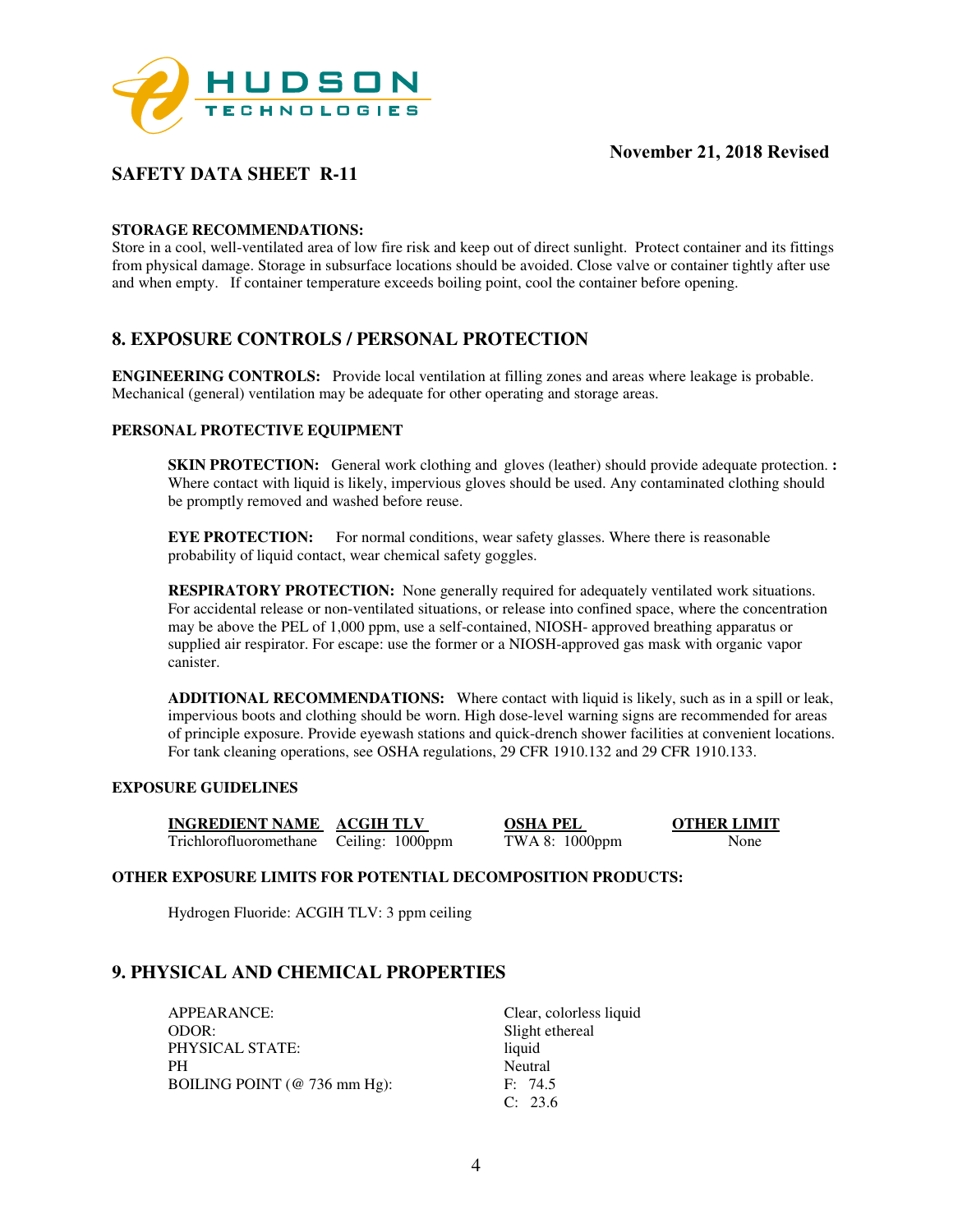

# **SAFETY DATA SHEET R-11**

#### **STORAGE RECOMMENDATIONS:**

Store in a cool, well-ventilated area of low fire risk and keep out of direct sunlight. Protect container and its fittings from physical damage. Storage in subsurface locations should be avoided. Close valve or container tightly after use and when empty. If container temperature exceeds boiling point, cool the container before opening.

## **8. EXPOSURE CONTROLS / PERSONAL PROTECTION**

**ENGINEERING CONTROLS:** Provide local ventilation at filling zones and areas where leakage is probable. Mechanical (general) ventilation may be adequate for other operating and storage areas.

#### **PERSONAL PROTECTIVE EQUIPMENT**

**SKIN PROTECTION:** General work clothing and gloves (leather) should provide adequate protection. **:** Where contact with liquid is likely, impervious gloves should be used. Any contaminated clothing should be promptly removed and washed before reuse.

**EYE PROTECTION:** For normal conditions, wear safety glasses. Where there is reasonable probability of liquid contact, wear chemical safety goggles.

**RESPIRATORY PROTECTION:** None generally required for adequately ventilated work situations. For accidental release or non-ventilated situations, or release into confined space, where the concentration may be above the PEL of 1,000 ppm, use a self-contained, NIOSH- approved breathing apparatus or supplied air respirator. For escape: use the former or a NIOSH-approved gas mask with organic vapor canister.

**ADDITIONAL RECOMMENDATIONS:** Where contact with liquid is likely, such as in a spill or leak, impervious boots and clothing should be worn. High dose-level warning signs are recommended for areas of principle exposure. Provide eyewash stations and quick-drench shower facilities at convenient locations. For tank cleaning operations, see OSHA regulations, 29 CFR 1910.132 and 29 CFR 1910.133.

#### **EXPOSURE GUIDELINES**

**INGREDIENT NAME ACGIH TLV OSHA PEL OTHER LIMIT**<br>Trichlorofluoromethane Ceiling: 1000ppm TWA 8: 1000ppm None Trichlorofluoromethane Ceiling: 1000ppm TWA 8: 1000ppm None

#### **OTHER EXPOSURE LIMITS FOR POTENTIAL DECOMPOSITION PRODUCTS:**

Hydrogen Fluoride: ACGIH TLV: 3 ppm ceiling

## **9. PHYSICAL AND CHEMICAL PROPERTIES**

APPEARANCE: Clear, colorless liquid ODOR: Slight ethereal PHYSICAL STATE: liquid PH Neutral BOILING POINT (@ 736 mm Hg): F: 74.5

C: 23.6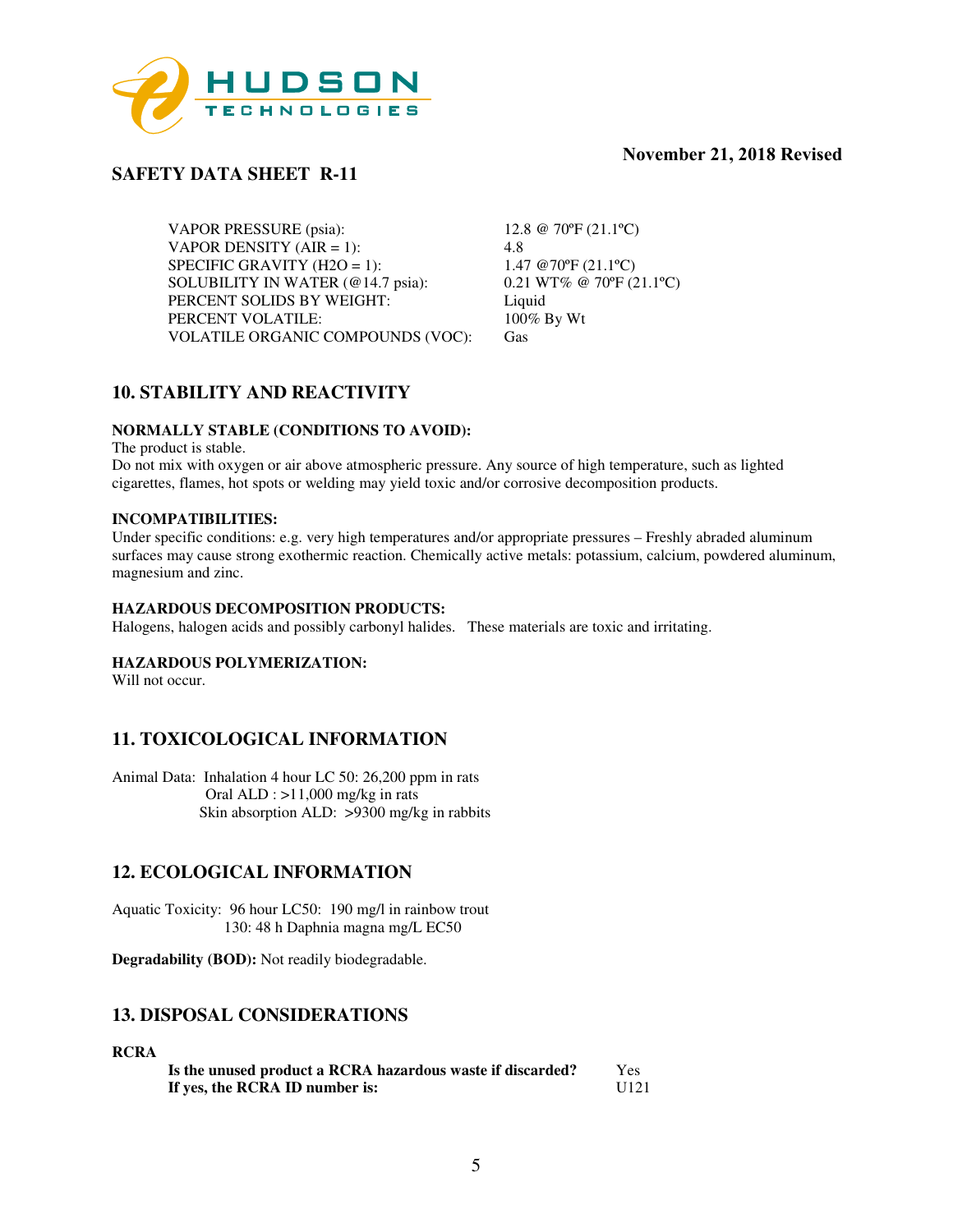

## **SAFETY DATA SHEET R-11**

VAPOR PRESSURE (psia):  $12.8 \text{ } @ 70\text{ }°F (21.1\text{ }°C)$ <br>VAPOR DENSITY (AIR = 1):  $4.8$ VAPOR DENSITY (AIR  $= 1$ ): SPECIFIC GRAVITY (H2O = 1):  $1.47 @ 70^{\circ}F (21.1^{\circ}C)$ SOLUBILITY IN WATER (@14.7 psia): 0.21 WT% @ 70ºF (21.1ºC) PERCENT SOLIDS BY WEIGHT: Liquid<br>
PERCENT VOLATILE: 100% By Wt PERCENT VOLATILE: VOLATILE ORGANIC COMPOUNDS (VOC): Gas

# **10. STABILITY AND REACTIVITY**

#### **NORMALLY STABLE (CONDITIONS TO AVOID):**

The product is stable. Do not mix with oxygen or air above atmospheric pressure. Any source of high temperature, such as lighted cigarettes, flames, hot spots or welding may yield toxic and/or corrosive decomposition products.

#### **INCOMPATIBILITIES:**

Under specific conditions: e.g. very high temperatures and/or appropriate pressures – Freshly abraded aluminum surfaces may cause strong exothermic reaction. Chemically active metals: potassium, calcium, powdered aluminum, magnesium and zinc.

#### **HAZARDOUS DECOMPOSITION PRODUCTS:**

Halogens, halogen acids and possibly carbonyl halides. These materials are toxic and irritating.

#### **HAZARDOUS POLYMERIZATION:**

Will not occur.

# **11. TOXICOLOGICAL INFORMATION**

Animal Data: Inhalation 4 hour LC 50: 26,200 ppm in rats Oral ALD : >11,000 mg/kg in rats Skin absorption ALD: >9300 mg/kg in rabbits

## **12. ECOLOGICAL INFORMATION**

Aquatic Toxicity: 96 hour LC50: 190 mg/l in rainbow trout 130: 48 h Daphnia magna mg/L EC50

**Degradability (BOD):** Not readily biodegradable.

## **13. DISPOSAL CONSIDERATIONS**

#### **RCRA**

| Is the unused product a RCRA hazardous waste if discarded? | Yes. |
|------------------------------------------------------------|------|
| If yes, the RCRA ID number is:                             | U121 |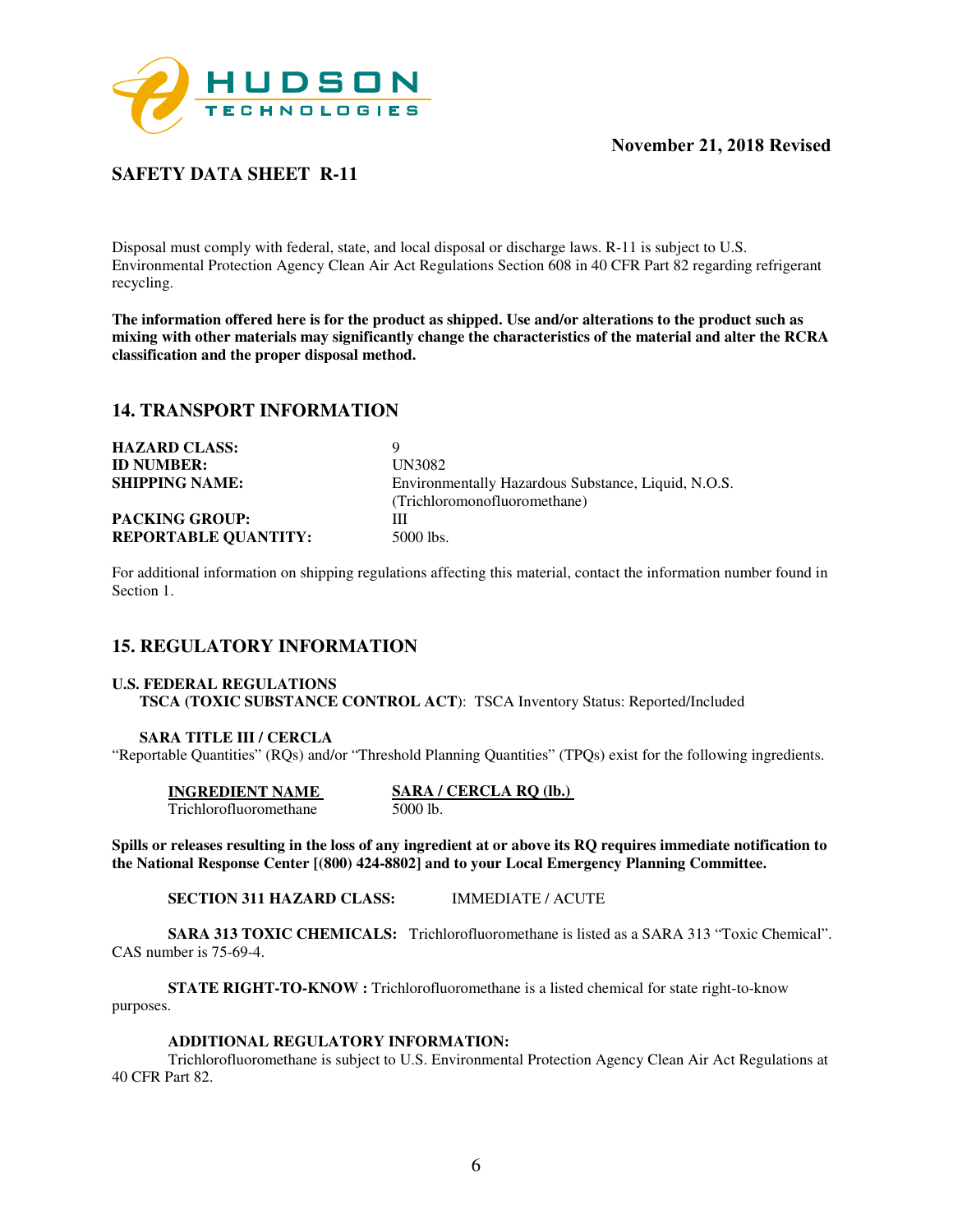

# **SAFETY DATA SHEET R-11**

Disposal must comply with federal, state, and local disposal or discharge laws. R-11 is subject to U.S. Environmental Protection Agency Clean Air Act Regulations Section 608 in 40 CFR Part 82 regarding refrigerant recycling.

**The information offered here is for the product as shipped. Use and/or alterations to the product such as mixing with other materials may significantly change the characteristics of the material and alter the RCRA classification and the proper disposal method.** 

### **14. TRANSPORT INFORMATION**

| <b>HAZARD CLASS:</b>        |                                                     |
|-----------------------------|-----------------------------------------------------|
| <b>ID NUMBER:</b>           | UN3082                                              |
| <b>SHIPPING NAME:</b>       | Environmentally Hazardous Substance, Liquid, N.O.S. |
|                             | (Trichloromonofluoromethane)                        |
| <b>PACKING GROUP:</b>       | Ш                                                   |
| <b>REPORTABLE QUANTITY:</b> | 5000 lbs.                                           |

For additional information on shipping regulations affecting this material, contact the information number found in Section 1.

#### **15. REGULATORY INFORMATION**

#### **U.S. FEDERAL REGULATIONS TSCA (TOXIC SUBSTANCE CONTROL ACT**): TSCA Inventory Status: Reported/Included

**SARA TITLE III / CERCLA** 

"Reportable Quantities" (RQs) and/or "Threshold Planning Quantities" (TPQs) exist for the following ingredients.

**INGREDIENT NAME SARA / CERCLA RQ (lb.)**  Trichlorofluoromethane 5000 lb.

**Spills or releases resulting in the loss of any ingredient at or above its RQ requires immediate notification to the National Response Center [(800) 424-8802] and to your Local Emergency Planning Committee.** 

**SECTION 311 HAZARD CLASS:** IMMEDIATE / ACUTE

**SARA 313 TOXIC CHEMICALS:** Trichlorofluoromethane is listed as a SARA 313 "Toxic Chemical". CAS number is 75-69-4.

**STATE RIGHT-TO-KNOW :** Trichlorofluoromethane is a listed chemical for state right-to-know purposes.

#### **ADDITIONAL REGULATORY INFORMATION:**

Trichlorofluoromethane is subject to U.S. Environmental Protection Agency Clean Air Act Regulations at 40 CFR Part 82.